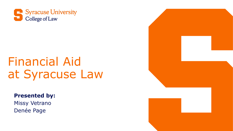

## Financial Aid at Syracuse Law

#### **Presented by:**

Missy Vetrano Denée Page

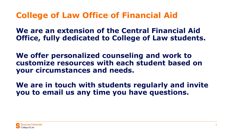#### **College of Law Office of Financial Aid**

**We are an extension of the Central Financial Aid Office, fully dedicated to College of Law students.** 

**We offer personalized counseling and work to customize resources with each student based on your circumstances and needs.** 

**We are in touch with students regularly and invite you to email us any time you have questions.** 

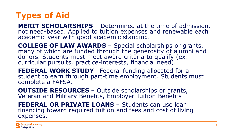#### **Types of Aid**

**MERIT SCHOLARSHIPS** – Determined at the time of admission, not need-based. Applied to tuition expenses and renewable each academic year with good academic standing.

**COLLEGE OF LAW AWARDS** – Special scholarships or grants, many of which are funded through the generosity of alumni and donors. Students must meet award criteria to qualify (ex: curricular pursuits, practice-interests, financial need).

**FEDERAL WORK STUDY**– Federal funding allocated for a student to earn through part-time employment. Students must complete a FAFSA.

**OUTSIDE RESOURCES** – Outside scholarships or grants, Veteran and Military Benefits, Employer Tuition Benefits

**FEDERAL OR PRIVATE LOANS** – Students can use loan financing toward required tuition and fees and cost of living expenses.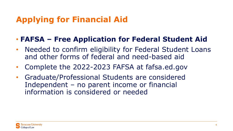### **Applying for Financial Aid**

#### • **FAFSA – Free Application for Federal Student Aid**

- Needed to confirm eligibility for Federal Student Loans and other forms of federal and need-based aid
- Complete the 2022-2023 FAFSA at fafsa.ed.gov
- Graduate/Professional Students are considered Independent – no parent income or financial information is considered or needed

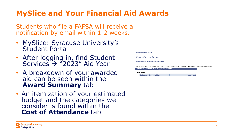#### **MySlice and Your Financial Aid Awards**

Students who file a FAFSA will receive a notification by email within 1-2 weeks.

- MySlice: Syracuse University's<br>Student Portal
- After logging in, find Student Services  $\rightarrow$  "2023" Aid Year
- A breakdown of your awarded aid can be seen within the **Award Summary** tab
- An itemization of your estimated budget and the categories we consider is found within the **Cost of Attendance** tab

**Financial Aid** 

**Cost of Attendance** 

Financial Aid Year 2022-2023

This is an estimate of items and costs associated with your program. These may be subject to change. **Estimated Financial Aid Budget Breakdown** 

**Fall 2022** 

**Category Description** Amount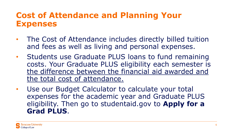#### **Cost of Attendance and Planning Your Expenses**

- The Cost of Attendance includes directly billed tuition and fees as well as living and personal expenses.
- Students use Graduate PLUS loans to fund remaining costs. Your Graduate PLUS eligibility each semester is the difference between the financial aid awarded and the total cost of attendance.
- Use our Budget Calculator to calculate your total expenses for the academic year and Graduate PLUS eligibility. Then go to studentaid.gov to **Apply for a Grad PLUS**.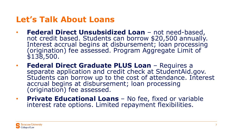#### **Let's Talk About Loans**

- **Federal Direct Unsubsidized Loan**  not need-based, not credit based. Students can borrow \$20,500 annually. Interest accrual begins at disbursement; loan processing (origination) fee assessed. Program Aggregate Limit of \$138,500.
- **Federal Direct Graduate PLUS Loan** Requires a separate application and credit check at StudentAid.gov. Students can borrow up to the cost of attendance. Interest accrual begins at disbursement; loan processing (origination) fee assessed.
- **Private Educational Loans**  No fee, fixed or variable interest rate options. Limited repayment flexibilities.

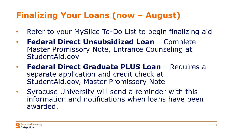#### **Finalizing Your Loans (now – August)**

- Refer to your MySlice To-Do List to begin finalizing aid
- **Federal Direct Unsubsidized Loan**  Complete Master Promissory Note, Entrance Counseling at StudentAid.gov
- **Federal Direct Graduate PLUS Loan**  Requires a separate application and credit check at StudentAid.gov, Master Promissory Note
- Syracuse University will send a reminder with this information and notifications when loans have been awarded.

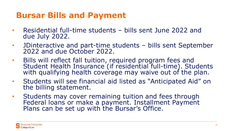#### **Bursar Bills and Payment**

- Residential full-time students bills sent June 2022 and due July 2022.
- JDinteractive and part-time students bills sent September 2022 and due October 2022.
- Bills will reflect fall tuition, required program fees and Student Health Insurance (if residential full-time). Students with qualifying health coverage may waive out of the plan.
- Students will see financial aid listed as "Anticipated Aid" on the billing statement.
- Students may cover remaining tuition and fees through Federal loans or make a payment. Installment Payment Plans can be set up with the Bursar's Office.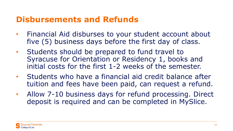#### **Disbursements and Refunds**

- Financial Aid disburses to your student account about five (5) business days before the first day of class.
- Students should be prepared to fund travel to Syracuse for Orientation or Residency 1, books and initial costs for the first 1-2 weeks of the semester.
- Students who have a financial aid credit balance after tuition and fees have been paid, can request a refund.
- Allow 7-10 business days for refund processing. Direct deposit is required and can be completed in MySlice.

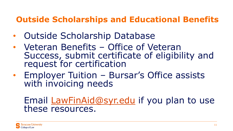#### **Outside Scholarships and Educational Benefits**

- Outside Scholarship Database
- Veteran Benefits Office of Veteran Success, submit certificate of eligibility and request for certification
- Employer Tuition Bursar's Office assists with invoicing needs

#### Email [LawFinAid@syr.edu](mailto:LawFinAid@syr.edu) if you plan to use these resources.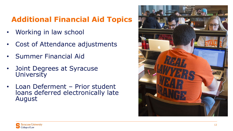#### **Additional Financial Aid Topics**

- Working in law school
- Cost of Attendance adjustments
- Summer Financial Aid
- Joint Degrees at Syracuse **University**
- Loan Deferment Prior student loans deferred electronically late August

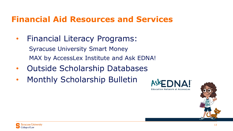#### **Financial Aid Resources and Services**

• Financial Literacy Programs:

Syracuse University Smart Money MAX by AccessLex Institute and Ask EDNA!

- Outside Scholarship Databases
- Monthly Scholarship Bulletin



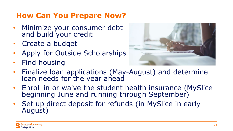#### **How Can You Prepare Now?**

- Minimize your consumer debt and build your credit
- Create a budget
- Apply for Outside Scholarships
- Find housing



- Finalize loan applications (May-August) and determine loan needs for the year ahead
- Enroll in or waive the student health insurance (MySlice beginning June and running through September)
- Set up direct deposit for refunds (in MySlice in early August)